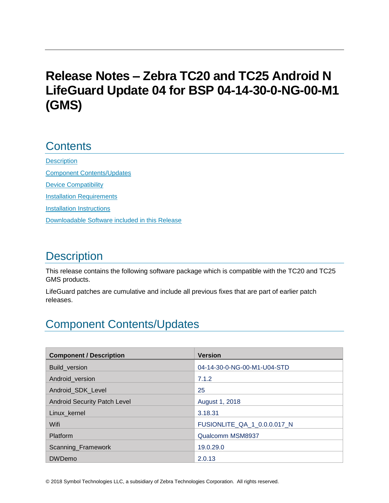# **Release Notes – Zebra TC20 and TC25 Android N LifeGuard Update 04 for BSP 04-14-30-0-NG-00-M1 (GMS)**

## **Contents**

**[Description](#page-0-0)** [Component Contents/Updates](#page-0-1) [Device Compatibility](#page-3-0) [Installation Requirements](#page-5-0) [Installation Instructions](#page-5-1) [Downloadable Software included in this Release](#page-7-0) 

# <span id="page-0-0"></span>**Description**

This release contains the following software package which is compatible with the TC20 and TC25 GMS products.

LifeGuard patches are cumulative and include all previous fixes that are part of earlier patch releases.

## <span id="page-0-1"></span>Component Contents/Updates

| <b>Component / Description</b>      | <b>Version</b>              |
|-------------------------------------|-----------------------------|
| <b>Build version</b>                | 04-14-30-0-NG-00-M1-U04-STD |
| Android version                     | 7.1.2                       |
| Android SDK Level                   | 25                          |
| <b>Android Security Patch Level</b> | August 1, 2018              |
| Linux kernel                        | 3.18.31                     |
| Wifi                                | FUSIONLITE_QA_1_0.0.0.017_N |
| <b>Platform</b>                     | Qualcomm MSM8937            |
| Scanning_Framework                  | 19.0.29.0                   |
| <b>DWDemo</b>                       | 2.0.13                      |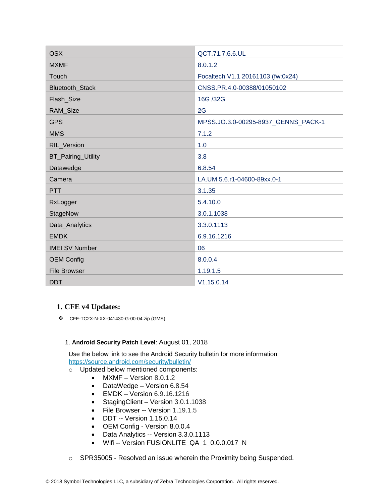| <b>OSX</b>            | QCT.71.7.6.6.UL                     |
|-----------------------|-------------------------------------|
| <b>MXMF</b>           | 8.0.1.2                             |
| Touch                 | Focaltech V1.1 20161103 (fw:0x24)   |
| Bluetooth_Stack       | CNSS.PR.4.0-00388/01050102          |
| Flash_Size            | 16G /32G                            |
| RAM_Size              | 2G                                  |
| <b>GPS</b>            | MPSS.JO.3.0-00295-8937_GENNS_PACK-1 |
| <b>MMS</b>            | 7.1.2                               |
| RIL_Version           | 1.0                                 |
| BT_Pairing_Utility    | 3.8                                 |
| Datawedge             | 6.8.54                              |
| Camera                | LA.UM.5.6.r1-04600-89xx.0-1         |
| <b>PTT</b>            | 3.1.35                              |
| RxLogger              | 5.4.10.0                            |
| StageNow              | 3.0.1.1038                          |
| Data_Analytics        | 3.3.0.1113                          |
| <b>EMDK</b>           | 6.9.16.1216                         |
| <b>IMEI SV Number</b> | 06                                  |
| <b>OEM Config</b>     | 8.0.0.4                             |
| <b>File Browser</b>   | 1.19.1.5                            |
| <b>DDT</b>            | V1.15.0.14                          |

#### **1. CFE v4 Updates:**

❖ CFE-TC2X-N-XX-041430-G-00-04.zip (GMS)

#### 1. **Android Security Patch Level**: August 01, 2018

Use the below link to see the Android Security bulletin for more information: <https://source.android.com/security/bulletin/>

- o Updated below mentioned components:
	- MXMF Version 8.0.1.2
	- DataWedge Version 6.8.54
	- EMDK Version 6.9.16.1216
	- StagingClient Version 3.0.1.1038
	- File Browser -- Version 1.19.1.5
	- DDT -- Version 1.15.0.14
	- OEM Config Version 8.0.0.4
	- Data Analytics -- Version 3.3.0.1113
	- Wifi -- Version FUSIONLITE\_QA\_1\_0.0.0.017\_N
- o SPR35005 Resolved an issue wherein the Proximity being Suspended.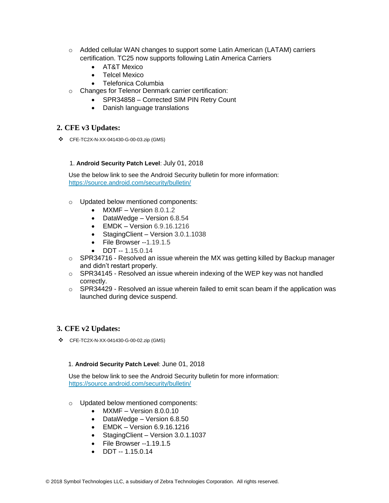- $\circ$  Added cellular WAN changes to support some Latin American (LATAM) carriers certification. TC25 now supports following Latin America Carriers
	- AT&T Mexico
	- Telcel Mexico
	- Telefonica Columbia
- o Changes for Telenor Denmark carrier certification:
	- SPR34858 Corrected SIM PIN Retry Count
	- Danish language translations

#### **2. CFE v3 Updates:**

❖ CFE-TC2X-N-XX-041430-G-00-03.zip (GMS)

#### 1. **Android Security Patch Level**: July 01, 2018

Use the below link to see the Android Security bulletin for more information: <https://source.android.com/security/bulletin/>

- o Updated below mentioned components:
	- MXMF Version 8.0.1.2
	- DataWedge Version 6.8.54
	- $\bullet$  EMDK Version 6.9.16.1216
	- StagingClient Version 3.0.1.1038
	- File Browser --1.19.1.5
	- DDT -- 1.15.0.14
- $\circ$  SPR34716 Resolved an issue wherein the MX was getting killed by Backup manager and didn't restart properly.
- $\circ$  SPR34145 Resolved an issue wherein indexing of the WEP key was not handled correctly.
- $\circ$  SPR34429 Resolved an issue wherein failed to emit scan beam if the application was launched during device suspend.

#### **3. CFE v2 Updates:**

❖ CFE-TC2X-N-XX-041430-G-00-02.zip (GMS)

#### 1. **Android Security Patch Level**: June 01, 2018

Use the below link to see the Android Security bulletin for more information: <https://source.android.com/security/bulletin/>

- o Updated below mentioned components:
	- MXMF Version 8.0.0.10
	- DataWedge Version 6.8.50
	- EMDK Version 6.9.16.1216
	- Staging Client Version 3.0.1.1037
	- File Browser --1.19.1.5
	- DDT -- 1.15.0.14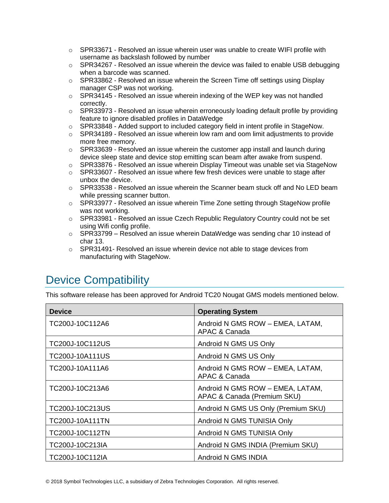- $\circ$  SPR33671 Resolved an issue wherein user was unable to create WIFI profile with username as backslash followed by number
- $\circ$  SPR34267 Resolved an issue wherein the device was failed to enable USB debugging when a barcode was scanned.
- $\circ$  SPR33862 Resolved an issue wherein the Screen Time off settings using Display manager CSP was not working.
- $\circ$  SPR34145 Resolved an issue wherein indexing of the WEP key was not handled correctly.
- $\circ$  SPR33973 Resolved an issue wherein erroneously loading default profile by providing feature to ignore disabled profiles in DataWedge
- o SPR33848 Added support to included category field in intent profile in StageNow.
- $\circ$  SPR34189 Resolved an issue wherein low ram and oom limit adjustments to provide more free memory.
- $\circ$  SPR33639 Resolved an issue wherein the customer app install and launch during device sleep state and device stop emitting scan beam after awake from suspend.
- $\circ$  SPR33876 Resolved an issue wherein Display Timeout was unable set via StageNow
- $\circ$  SPR33607 Resolved an issue where few fresh devices were unable to stage after unbox the device.
- $\circ$  SPR33538 Resolved an issue wherein the Scanner beam stuck off and No LED beam while pressing scanner button.
- $\circ$  SPR33977 Resolved an issue wherein Time Zone setting through StageNow profile was not working.
- $\circ$  SPR33981 Resolved an issue Czech Republic Regulatory Country could not be set using Wifi config profile.
- $\circ$  SPR33799 Resolved an issue wherein DataWedge was sending char 10 instead of char 13.
- $\circ$  SPR31491- Resolved an issue wherein device not able to stage devices from manufacturing with StageNow.

# <span id="page-3-0"></span>Device Compatibility

This software release has been approved for Android TC20 Nougat GMS models mentioned below.

| <b>Device</b>   | <b>Operating System</b>                                         |
|-----------------|-----------------------------------------------------------------|
| TC200J-10C112A6 | Android N GMS ROW - EMEA, LATAM,<br>APAC & Canada               |
| TC200J-10C112US | Android N GMS US Only                                           |
| TC200J-10A111US | Android N GMS US Only                                           |
| TC200J-10A111A6 | Android N GMS ROW - EMEA, LATAM,<br>APAC & Canada               |
| TC200J-10C213A6 | Android N GMS ROW - EMEA, LATAM,<br>APAC & Canada (Premium SKU) |
| TC200J-10C213US | Android N GMS US Only (Premium SKU)                             |
| TC200J-10A111TN | Android N GMS TUNISIA Only                                      |
| TC200J-10C112TN | Android N GMS TUNISIA Only                                      |
| TC200J-10C213IA | Android N GMS INDIA (Premium SKU)                               |
| TC200J-10C112IA | Android N GMS INDIA                                             |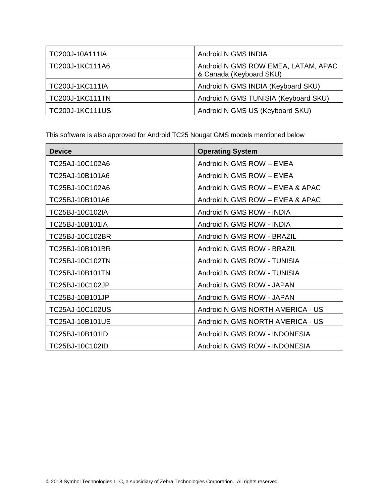| TC200J-10A111IA        | Android N GMS INDIA                                            |
|------------------------|----------------------------------------------------------------|
| TC200J-1KC111A6        | Android N GMS ROW EMEA, LATAM, APAC<br>& Canada (Keyboard SKU) |
| TC200J-1KC111IA        | Android N GMS INDIA (Keyboard SKU)                             |
| <b>TC200J-1KC111TN</b> | Android N GMS TUNISIA (Keyboard SKU)                           |
| <b>TC200J-1KC111US</b> | Android N GMS US (Keyboard SKU)                                |

This software is also approved for Android TC25 Nougat GMS models mentioned below

| <b>Device</b>   | <b>Operating System</b>          |
|-----------------|----------------------------------|
| TC25AJ-10C102A6 | Android N GMS ROW - EMEA         |
| TC25AJ-10B101A6 | Android N GMS ROW - EMEA         |
| TC25BJ-10C102A6 | Android N GMS ROW - EMEA & APAC  |
| TC25BJ-10B101A6 | Android N GMS ROW - EMEA & APAC  |
| TC25BJ-10C102IA | Android N GMS ROW - INDIA        |
| TC25BJ-10B101IA | Android N GMS ROW - INDIA        |
| TC25BJ-10C102BR | Android N GMS ROW - BRAZIL       |
| TC25BJ-10B101BR | Android N GMS ROW - BRAZIL       |
| TC25BJ-10C102TN | Android N GMS ROW - TUNISIA      |
| TC25BJ-10B101TN | Android N GMS ROW - TUNISIA      |
| TC25BJ-10C102JP | Android N GMS ROW - JAPAN        |
| TC25BJ-10B101JP | Android N GMS ROW - JAPAN        |
| TC25AJ-10C102US | Android N GMS NORTH AMERICA - US |
| TC25AJ-10B101US | Android N GMS NORTH AMERICA - US |
| TC25BJ-10B101ID | Android N GMS ROW - INDONESIA    |
| TC25BJ-10C102ID | Android N GMS ROW - INDONESIA    |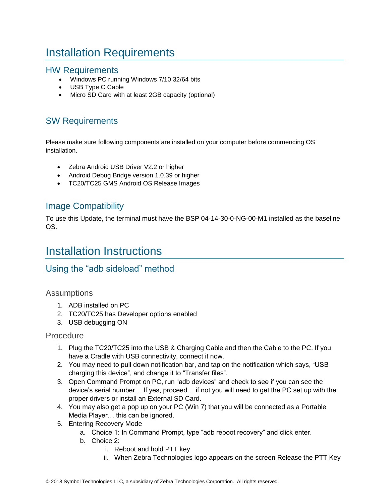# <span id="page-5-0"></span>Installation Requirements

### HW Requirements

- Windows PC running Windows 7/10 32/64 bits
- USB Type C Cable
- Micro SD Card with at least 2GB capacity (optional)

### SW Requirements

Please make sure following components are installed on your computer before commencing OS installation.

- Zebra Android USB Driver V2.2 or higher
- Android Debug Bridge version 1.0.39 or higher
- TC20/TC25 GMS Android OS Release Images

### Image Compatibility

To use this Update, the terminal must have the BSP 04-14-30-0-NG-00-M1 installed as the baseline OS.

## <span id="page-5-1"></span>Installation Instructions

### Using the "adb sideload" method

#### Assumptions

- 1. ADB installed on PC
- 2. TC20/TC25 has Developer options enabled
- 3. USB debugging ON

#### **Procedure**

- 1. Plug the TC20/TC25 into the USB & Charging Cable and then the Cable to the PC. If you have a Cradle with USB connectivity, connect it now.
- 2. You may need to pull down notification bar, and tap on the notification which says, "USB charging this device", and change it to "Transfer files".
- 3. Open Command Prompt on PC, run "adb devices" and check to see if you can see the device's serial number… If yes, proceed… if not you will need to get the PC set up with the proper drivers or install an External SD Card.
- 4. You may also get a pop up on your PC (Win 7) that you will be connected as a Portable Media Player… this can be ignored.
- 5. Entering Recovery Mode
	- a. Choice 1: In Command Prompt, type "adb reboot recovery" and click enter.
	- b. Choice 2:
		- i. Reboot and hold PTT key
		- ii. When Zebra Technologies logo appears on the screen Release the PTT Key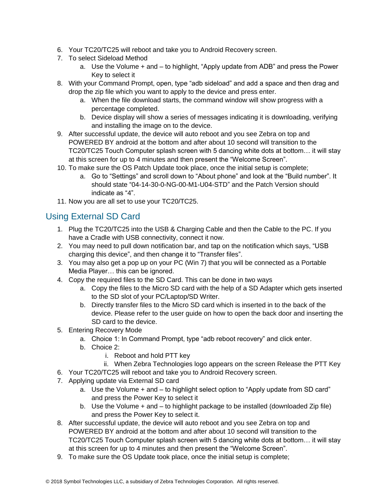- 6. Your TC20/TC25 will reboot and take you to Android Recovery screen.
- 7. To select Sideload Method
	- a. Use the Volume + and to highlight, "Apply update from ADB" and press the Power Key to select it
- 8. With your Command Prompt, open, type "adb sideload" and add a space and then drag and drop the zip file which you want to apply to the device and press enter.
	- a. When the file download starts, the command window will show progress with a percentage completed.
	- b. Device display will show a series of messages indicating it is downloading, verifying and installing the image on to the device.
- 9. After successful update, the device will auto reboot and you see Zebra on top and POWERED BY android at the bottom and after about 10 second will transition to the TC20/TC25 Touch Computer splash screen with 5 dancing white dots at bottom… it will stay at this screen for up to 4 minutes and then present the "Welcome Screen".
- 10. To make sure the OS Patch Update took place, once the initial setup is complete;
	- a. Go to "Settings" and scroll down to "About phone" and look at the "Build number". It should state "04-14-30-0-NG-00-M1-U04-STD" and the Patch Version should indicate as "4".
- 11. Now you are all set to use your TC20/TC25.

### Using External SD Card

- 1. Plug the TC20/TC25 into the USB & Charging Cable and then the Cable to the PC. If you have a Cradle with USB connectivity, connect it now.
- 2. You may need to pull down notification bar, and tap on the notification which says, "USB charging this device", and then change it to "Transfer files".
- 3. You may also get a pop up on your PC (Win 7) that you will be connected as a Portable Media Player… this can be ignored.
- 4. Copy the required files to the SD Card. This can be done in two ways
	- a. Copy the files to the Micro SD card with the help of a SD Adapter which gets inserted to the SD slot of your PC/Laptop/SD Writer.
	- b. Directly transfer files to the Micro SD card which is inserted in to the back of the device. Please refer to the user guide on how to open the back door and inserting the SD card to the device.
- 5. Entering Recovery Mode
	- a. Choice 1: In Command Prompt, type "adb reboot recovery" and click enter.
	- b. Choice 2:
		- i. Reboot and hold PTT key
		- ii. When Zebra Technologies logo appears on the screen Release the PTT Key
- 6. Your TC20/TC25 will reboot and take you to Android Recovery screen.
- 7. Applying update via External SD card
	- a. Use the Volume + and to highlight select option to "Apply update from SD card" and press the Power Key to select it
	- b. Use the Volume + and to highlight package to be installed (downloaded Zip file) and press the Power Key to select it.
- 8. After successful update, the device will auto reboot and you see Zebra on top and POWERED BY android at the bottom and after about 10 second will transition to the TC20/TC25 Touch Computer splash screen with 5 dancing white dots at bottom… it will stay at this screen for up to 4 minutes and then present the "Welcome Screen".
- 9. To make sure the OS Update took place, once the initial setup is complete;